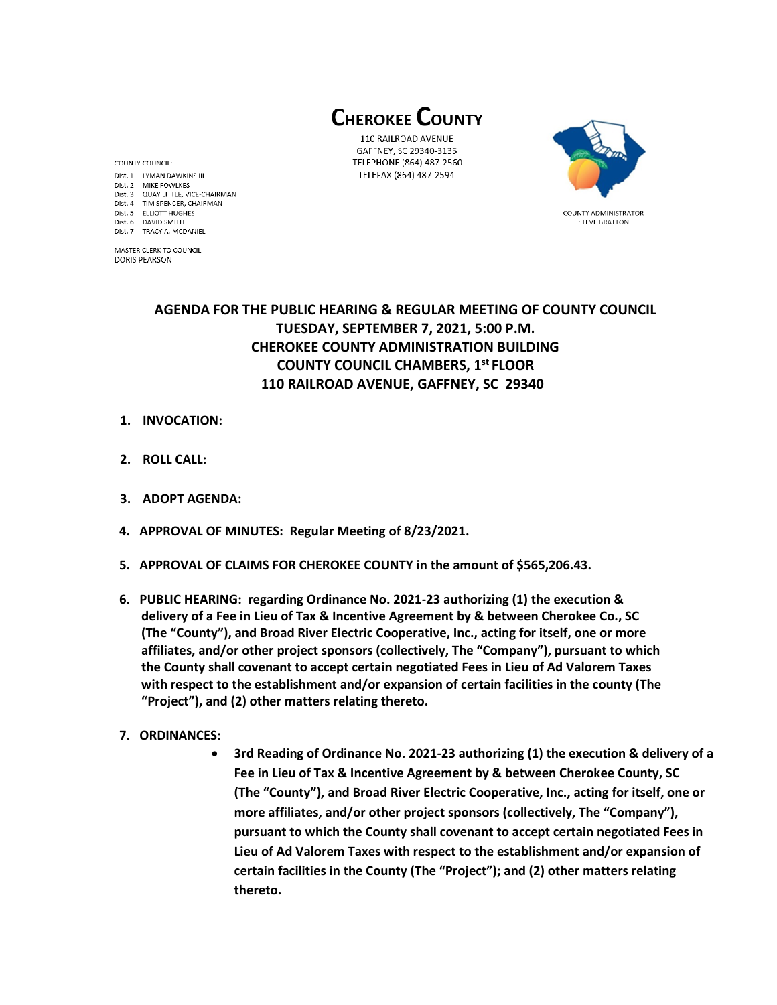**CHEROKEE COUNTY** 

110 RAILROAD AVENUE GAFFNEY, SC 29340-3136 TELEPHONE (864) 487-2560 TELEFAX (864) 487-2594



**COUNTY ADMINISTRATOR STEVE BRATTON** 

**AGENDA FOR THE PUBLIC HEARING & REGULAR MEETING OF COUNTY COUNCIL TUESDAY, SEPTEMBER 7, 2021, 5:00 P.M. CHEROKEE COUNTY ADMINISTRATION BUILDING COUNTY COUNCIL CHAMBERS, 1 st FLOOR 110 RAILROAD AVENUE, GAFFNEY, SC 29340** 

**1. INVOCATION:**

COUNTY COUNCIL:

Dist. 6 DAVID SMITH

Dist. 1 LYMAN DAWKINS III Dist. 2 MIKE FOWLKES

Dist. 7 TRACY A. MCDANIEL MASTER CLERK TO COUNCIL **DORIS PEARSON** 

Dist. 3 QUAY LITTLE, VICE-CHAIRMAN Dist. 4 TIM SPENCER, CHAIRMAN Dist. 5 ELLIOTT HUGHES

- **2. ROLL CALL:**
- **3. ADOPT AGENDA:**
- **4. APPROVAL OF MINUTES: Regular Meeting of 8/23/2021.**
- **5. APPROVAL OF CLAIMS FOR CHEROKEE COUNTY in the amount of \$565,206.43.**
- **6. PUBLIC HEARING: regarding Ordinance No. 2021-23 authorizing (1) the execution & delivery of a Fee in Lieu of Tax & Incentive Agreement by & between Cherokee Co., SC (The "County"), and Broad River Electric Cooperative, Inc., acting for itself, one or more affiliates, and/or other project sponsors (collectively, The "Company"), pursuant to which the County shall covenant to accept certain negotiated Fees in Lieu of Ad Valorem Taxes with respect to the establishment and/or expansion of certain facilities in the county (The "Project"), and (2) other matters relating thereto.**
- **7. ORDINANCES:** 
	- **3rd Reading of Ordinance No. 2021-23 authorizing (1) the execution & delivery of a Fee in Lieu of Tax & Incentive Agreement by & between Cherokee County, SC (The "County"), and Broad River Electric Cooperative, Inc., acting for itself, one or more affiliates, and/or other project sponsors (collectively, The "Company"), pursuant to which the County shall covenant to accept certain negotiated Fees in Lieu of Ad Valorem Taxes with respect to the establishment and/or expansion of certain facilities in the County (The "Project"); and (2) other matters relating thereto.**